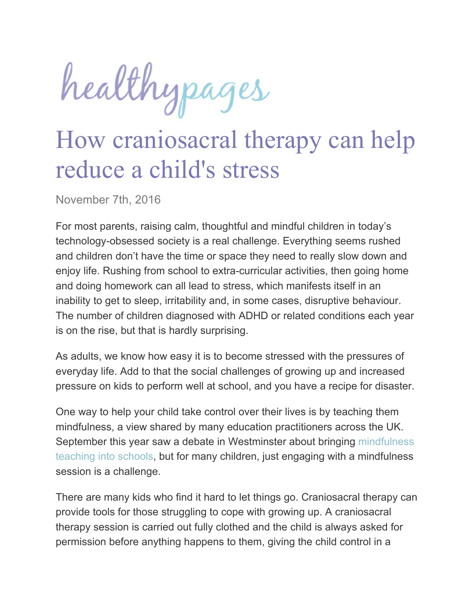healthypages

## How craniosacral therapy can help reduce a child's stress

November 7th, 2016

For most parents, raising calm, thoughtful and mindful children in today's technology-obsessed society is a real challenge. Everything seems rushed and children don't have the time or space they need to really slow down and enjoy life. Rushing from school to extra-curricular activities, then going home and doing homework can all lead to stress, which manifests itself in an inability to get to sleep, irritability and, in some cases, disruptive behaviour. The number of children diagnosed with ADHD or related conditions each year is on the rise, but that is hardly surprising.

As adults, we know how easy it is to become stressed with the pressures of everyday life. Add to that the social challenges of growing up and increased pressure on kids to perform well at school, and you have a recipe for disaster.

One way to help your child take control over their lives is by teaching them mindfulness, a view shared by many education practitioners across the UK. September this year saw a debate in Westminster about bringing mindfulness teaching into schools, but for many children, just engaging with a mindfulness session is a challenge.

There are many kids who find it hard to let things go. Craniosacral therapy can provide tools for those struggling to cope with growing up. A craniosacral therapy session is carried out fully clothed and the child is always asked for permission before anything happens to them, giving the child control in a